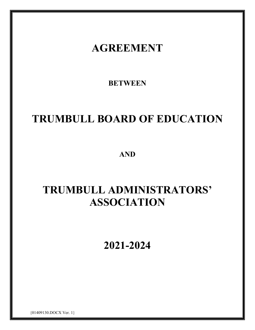# **AGREEMENT**

**BETWEEN** 

# **TRUMBULL BOARD OF EDUCATION**

**AND**

# **TRUMBULL ADMINISTRATORS' ASSOCIATION**

**2021-2024**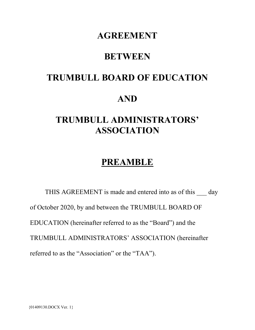## **AGREEMENT**

## **BETWEEN**

## **TRUMBULL BOARD OF EDUCATION**

## **AND**

## **TRUMBULL ADMINISTRATORS' ASSOCIATION**

## **PREAMBLE**

THIS AGREEMENT is made and entered into as of this day of October 2020, by and between the TRUMBULL BOARD OF EDUCATION (hereinafter referred to as the "Board") and the TRUMBULL ADMINISTRATORS' ASSOCIATION (hereinafter referred to as the "Association" or the "TAA").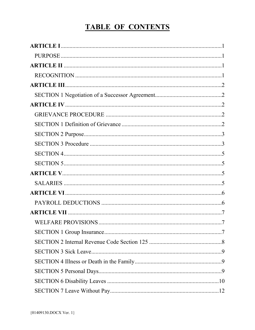## **TABLE OF CONTENTS**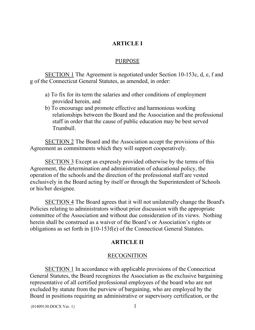#### **ARTICLE I**

#### PURPOSE

<span id="page-4-1"></span><span id="page-4-0"></span>SECTION 1 The Agreement is negotiated under Section 10-153c, d, e, f and g of the Connecticut General Statutes, as amended, in order:

- a) To fix for its term the salaries and other conditions of employment provided herein, and
- b) To encourage and promote effective and harmonious working relationships between the Board and the Association and the professional staff in order that the cause of public education may be best served Trumbull.

SECTION 2 The Board and the Association accept the provisions of this Agreement as commitments which they will support cooperatively.

SECTION 3 Except as expressly provided otherwise by the terms of this Agreement, the determination and administration of educational policy, the operation of the schools and the direction of the professional staff are vested exclusively in the Board acting by itself or through the Superintendent of Schools or his/her designee.

SECTION 4 The Board agrees that it will not unilaterally change the Board's Policies relating to administrators without prior discussion with the appropriate committee of the Association and without due consideration of its views. Nothing herein shall be construed as a waiver of the Board's or Association's rights or obligations as set forth in §10-153f(e) of the Connecticut General Statutes.

#### **ARTICLE II**

#### RECOGNITION

<span id="page-4-3"></span><span id="page-4-2"></span>SECTION 1 In accordance with applicable provisions of the Connecticut General Statutes, the Board recognizes the Association as the exclusive bargaining representative of all certified professional employees of the board who are not excluded by statute from the purview of bargaining, who are employed by the Board in positions requiring an administrative or supervisory certification, or the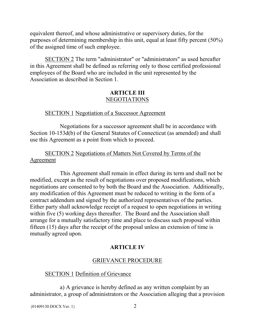equivalent thereof, and whose administrative or supervisory duties, for the purposes of determining membership in this unit, equal at least fifty percent (50%) of the assigned time of such employee.

SECTION 2 The term "administrator" or "administrators" as used hereafter in this Agreement shall be defined as referring only to those certified professional employees of the Board who are included in the unit represented by the Association as described in Section 1.

#### **ARTICLE III**  NEGOTIATIONS

#### <span id="page-5-0"></span>SECTION 1 Negotiation of a Successor Agreement

<span id="page-5-1"></span>Negotiations for a successor agreement shall be in accordance with Section 10-153d(b) of the General Statutes of Connecticut (as amended) and shall use this Agreement as a point from which to proceed.

#### SECTION 2 Negotiations of Matters Not Covered by Terms of the Agreement

This Agreement shall remain in effect during its term and shall not be modified, except as the result of negotiations over proposed modifications, which negotiations are consented to by both the Board and the Association. Additionally, any modification of this Agreement must be reduced to writing in the form of a contract addendum and signed by the authorized representatives of the parties. Either party shall acknowledge receipt of a request to open negotiations in writing within five (5) working days thereafter. The Board and the Association shall arrange for a mutually satisfactory time and place to discuss such proposal within fifteen (15) days after the receipt of the proposal unless an extension of time is mutually agreed upon.

### **ARTICLE IV**

#### GRIEVANCE PROCEDURE

#### <span id="page-5-3"></span><span id="page-5-2"></span>SECTION 1 Definition of Grievance

<span id="page-5-4"></span>a) A grievance is hereby defined as any written complaint by an administrator, a group of administrators or the Association alleging that a provision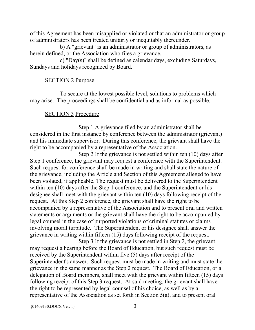of this Agreement has been misapplied or violated or that an administrator or group of administrators has been treated unfairly or inequitably thereunder.

b) A "grievant" is an administrator or group of administrators, as herein defined, or the Association who files a grievance.

c) "Day(s)" shall be defined as calendar days, excluding Saturdays, Sundays and holidays recognized by Board.

#### SECTION 2 Purpose

<span id="page-6-0"></span>To secure at the lowest possible level, solutions to problems which may arise. The proceedings shall be confidential and as informal as possible.

#### SECTION 3 Procedure

<span id="page-6-1"></span>Step 1 A grievance filed by an administrator shall be considered in the first instance by conference between the administrator (grievant) and his immediate supervisor. During this conference, the grievant shall have the right to be accompanied by a representative of the Association.

Step 2 If the grievance is not settled within ten (10) days after Step 1 conference, the grievant may request a conference with the Superintendent. Such request for conference shall be made in writing and shall state the nature of the grievance, including the Article and Section of this Agreement alleged to have been violated, if applicable. The request must be delivered to the Superintendent within ten (10) days after the Step 1 conference, and the Superintendent or his designee shall meet with the grievant within ten (10) days following receipt of the request. At this Step 2 conference, the grievant shall have the right to be accompanied by a representative of the Association and to present oral and written statements or arguments or the grievant shall have the right to be accompanied by legal counsel in the case of purported violations of criminal statutes or claims involving moral turpitude. The Superintendent or his designee shall answer the grievance in writing within fifteen (15) days following receipt of the request.

Step 3 If the grievance is not settled in Step 2, the grievant may request a hearing before the Board of Education, but such request must be received by the Superintendent within five (5) days after receipt of the Superintendent's answer. Such request must be made in writing and must state the grievance in the same manner as the Step 2 request. The Board of Education, or a delegation of Board members, shall meet with the grievant within fifteen (15) days following receipt of this Step 3 request. At said meeting, the grievant shall have the right to be represented by legal counsel of his choice, as well as by a representative of the Association as set forth in Section 5(a), and to present oral

 ${01409130. \text{DOCX Ver. 1}}$  3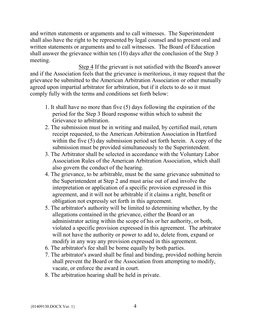and written statements or arguments and to call witnesses. The Superintendent shall also have the right to be represented by legal counsel and to present oral and written statements or arguments and to call witnesses. The Board of Education shall answer the grievance within ten (10) days after the conclusion of the Step 3 meeting.

Step 4 If the grievant is not satisfied with the Board's answer and if the Association feels that the grievance is meritorious, it may request that the grievance be submitted to the American Arbitration Association or other mutually agreed upon impartial arbitrator for arbitration, but if it elects to do so it must comply fully with the terms and conditions set forth below:

- 1. It shall have no more than five (5) days following the expiration of the period for the Step 3 Board response within which to submit the Grievance to arbitration.
- 2. The submission must be in writing and mailed, by certified mail, return receipt requested, to the American Arbitration Association in Hartford within the five (5) day submission period set forth herein. A copy of the submission must be provided simultaneously to the Superintendent.
- 3. The Arbitrator shall be selected in accordance with the Voluntary Labor Association Rules of the American Arbitration Association, which shall also govern the conduct of the hearing.
- 4. The grievance, to be arbitrable, must be the same grievance submitted to the Superintendent at Step 2 and must arise out of and involve the interpretation or application of a specific provision expressed in this agreement, and it will not be arbitrable if it claims a right, benefit or obligation not expressly set forth in this agreement.
- 5. The arbitrator's authority will be limited to determining whether, by the allegations contained in the grievance, either the Board or an administrator acting within the scope of his or her authority, or both, violated a specific provision expressed in this agreement. The arbitrator will not have the authority or power to add to, delete from, expand or modify in any way any provision expressed in this agreement.
- 6. The arbitrator's fee shall be borne equally by both parties.
- 7. The arbitrator's award shall be final and binding, provided nothing herein shall prevent the Board or the Association from attempting to modify, vacate, or enforce the award in court.
- 8. The arbitration hearing shall be held in private.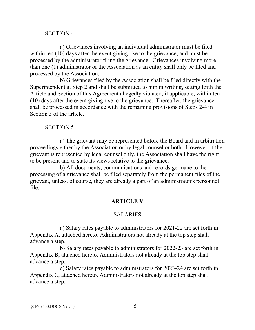#### SECTION 4

<span id="page-8-0"></span>a) Grievances involving an individual administrator must be filed within ten (10) days after the event giving rise to the grievance, and must be processed by the administrator filing the grievance. Grievances involving more than one (1) administrator or the Association as an entity shall only be filed and processed by the Association.

b) Grievances filed by the Association shall be filed directly with the Superintendent at Step 2 and shall be submitted to him in writing, setting forth the Article and Section of this Agreement allegedly violated, if applicable, within ten (10) days after the event giving rise to the grievance. Thereafter, the grievance shall be processed in accordance with the remaining provisions of Steps 2-4 in Section 3 of the article.

#### SECTION 5

<span id="page-8-1"></span>a) The grievant may be represented before the Board and in arbitration proceedings either by the Association or by legal counsel or both. However, if the grievant is represented by legal counsel only, the Association shall have the right to be present and to state its views relative to the grievance.

b) All documents, communications and records germane to the processing of a grievance shall be filed separately from the permanent files of the grievant, unless, of course, they are already a part of an administrator's personnel file.

#### **ARTICLE V**

#### **SALARIES**

<span id="page-8-3"></span><span id="page-8-2"></span>a) Salary rates payable to administrators for 2021-22 are set forth in Appendix A, attached hereto. Administrators not already at the top step shall advance a step.

b) Salary rates payable to administrators for 2022-23 are set forth in Appendix B, attached hereto. Administrators not already at the top step shall advance a step.

c) Salary rates payable to administrators for 2023-24 are set forth in Appendix C, attached hereto. Administrators not already at the top step shall advance a step.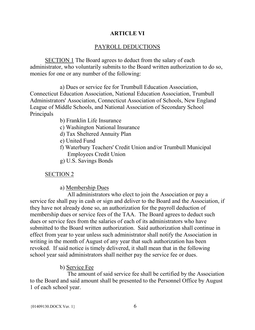#### **ARTICLE VI**

#### PAYROLL DEDUCTIONS

<span id="page-9-1"></span><span id="page-9-0"></span>SECTION 1 The Board agrees to deduct from the salary of each administrator, who voluntarily submits to the Board written authorization to do so, monies for one or any number of the following:

a) Dues or service fee for Trumbull Education Association, Connecticut Education Association, National Education Association, Trumbull Administrators' Association, Connecticut Association of Schools, New England League of Middle Schools, and National Association of Secondary School Principals

- b) Franklin Life Insurance
- c) Washington National Insurance
- d) Tax Sheltered Annuity Plan
- e) United Fund
- f) Waterbury Teachers' Credit Union and/or Trumbull Municipal Employees Credit Union
- g) U.S. Savings Bonds

#### SECTION 2

#### a) Membership Dues

All administrators who elect to join the Association or pay a service fee shall pay in cash or sign and deliver to the Board and the Association, if they have not already done so, an authorization for the payroll deduction of membership dues or service fees of the TAA. The Board agrees to deduct such dues or service fees from the salaries of each of its administrators who have submitted to the Board written authorization. Said authorization shall continue in effect from year to year unless such administrator shall notify the Association in writing in the month of August of any year that such authorization has been revoked. If said notice is timely delivered, it shall mean that in the following school year said administrators shall neither pay the service fee or dues.

#### b) Service Fee

The amount of said service fee shall be certified by the Association to the Board and said amount shall be presented to the Personnel Office by August 1 of each school year.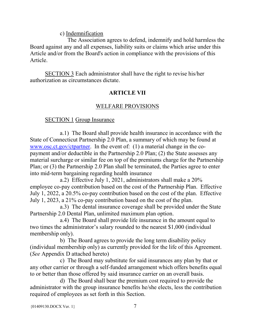c) Indemnification

The Association agrees to defend, indemnify and hold harmless the Board against any and all expenses, liability suits or claims which arise under this Article and/or from the Board's action in compliance with the provisions of this Article.

<span id="page-10-0"></span>SECTION 3 Each administrator shall have the right to revise his/her authorization as circumstances dictate.

### **ARTICLE VII**

### WELFARE PROVISIONS

### <span id="page-10-1"></span>SECTION 1 Group Insurance

<span id="page-10-2"></span>a.1) The Board shall provide health insurance in accordance with the State of Connecticut Partnership 2.0 Plan, a summary of which may be found at [www.osc.ct.gov/ctpartner.](http://www.osc.ct.gov/ctpartner) In the event of: (1) a material change in the copayment and/or deductible in the Partnership 2.0 Plan; (2) the State assesses any material surcharge or similar fee on top of the premiums charge for the Partnership Plan; or (3) the Partnership 2.0 Plan shall be terminated, the Parties agree to enter into mid-term bargaining regarding health insurance

a.2) Effective July 1, 2021, administrators shall make a 20% employee co-pay contribution based on the cost of the Partnership Plan. Effective July 1, 2022, a 20.5% co-pay contribution based on the cost of the plan. Effective July 1, 2023, a 21% co-pay contribution based on the cost of the plan.

a.3) The dental insurance coverage shall be provided under the State Partnership 2.0 Dental Plan, unlimited maximum plan option.

a.4) The Board shall provide life insurance in the amount equal to two times the administrator's salary rounded to the nearest \$1,000 (individual membership only).

b) The Board agrees to provide the long term disability policy (individual membership only) as currently provided for the life of this Agreement. (*See* Appendix D attached hereto)

c) The Board may substitute for said insurances any plan by that or any other carrier or through a self-funded arrangement which offers benefits equal to or better than those offered by said insurance carrier on an overall basis.

d) The Board shall bear the premium cost required to provide the administrator with the group insurance benefits he/she elects, less the contribution required of employees as set forth in this Section.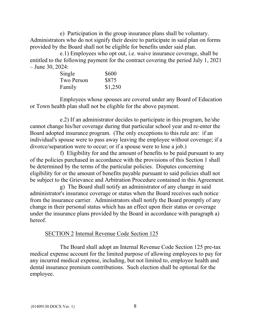e) Participation in the group insurance plans shall be voluntary. Administrators who do not signify their desire to participate in said plan on forms provided by the Board shall not be eligible for benefits under said plan.

e.1) Employees who opt out, i.e. waive insurance coverage, shall be entitled to the following payment for the contract covering the period July 1, 2021 – June 30, 2024:

| Single     | \$600   |
|------------|---------|
| Two Person | \$875   |
| Family     | \$1,250 |

Employees whose spouses are covered under any Board of Education or Town health plan shall not be eligible for the above payment.

e.2) If an administrator decides to participate in this program, he/she cannot change his/her coverage during that particular school year and re-enter the Board adopted insurance program. (The only exceptions to this rule are: if an individual's spouse were to pass away leaving the employee without coverage; if a divorce/separation were to occur; or if a spouse were to lose a job.)

f) Eligibility for and the amount of benefits to be paid pursuant to any of the policies purchased in accordance with the provisions of this Section 1 shall be determined by the terms of the particular policies. Disputes concerning eligibility for or the amount of benefits payable pursuant to said policies shall not be subject to the Grievance and Arbitration Procedure contained in this Agreement.

g) The Board shall notify an administrator of any change in said administrator's insurance coverage or status when the Board receives such notice from the insurance carrier. Administrators shall notify the Board promptly of any change in their personal status which has an effect upon their status or coverage under the insurance plans provided by the Board in accordance with paragraph a) hereof.

#### SECTION 2 Internal Revenue Code Section 125

<span id="page-11-0"></span>The Board shall adopt an Internal Revenue Code Section 125 pre-tax medical expense account for the limited purpose of allowing employees to pay for any incurred medical expense, including, but not limited to, employee health and dental insurance premium contributions. Such election shall be optional for the employee.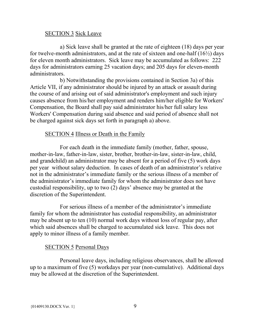#### SECTION 3 Sick Leave

<span id="page-12-0"></span>a) Sick leave shall be granted at the rate of eighteen (18) days per year for twelve-month administrators, and at the rate of sixteen and one-half  $(16\frac{1}{2})$  days for eleven month administrators. Sick leave may be accumulated as follows: 222 days for administrators earning 25 vacation days; and 205 days for eleven-month administrators.

b) Notwithstanding the provisions contained in Section 3a) of this Article VII, if any administrator should be injured by an attack or assault during the course of and arising out of said administrator's employment and such injury causes absence from his/her employment and renders him/her eligible for Workers' Compensation, the Board shall pay said administrator his/her full salary less Workers' Compensation during said absence and said period of absence shall not be charged against sick days set forth in paragraph a) above.

#### SECTION 4 Illness or Death in the Family

<span id="page-12-1"></span>For each death in the immediate family (mother, father, spouse, mother-in-law, father-in-law, sister, brother, brother-in-law, sister-in-law, child, and grandchild) an administrator may be absent for a period of five (5) work days per year without salary deduction. In cases of death of an administrator's relative not in the administrator's immediate family or the serious illness of a member of the administrator's immediate family for whom the administrator does not have custodial responsibility, up to two (2) days' absence may be granted at the discretion of the Superintendent.

For serious illness of a member of the administrator's immediate family for whom the administrator has custodial responsibility, an administrator may be absent up to ten (10) normal work days without loss of regular pay, after which said absences shall be charged to accumulated sick leave. This does not apply to minor illness of a family member.

#### SECTION 5 Personal Days

<span id="page-12-2"></span>Personal leave days, including religious observances, shall be allowed up to a maximum of five (5) workdays per year (non-cumulative). Additional days may be allowed at the discretion of the Superintendent.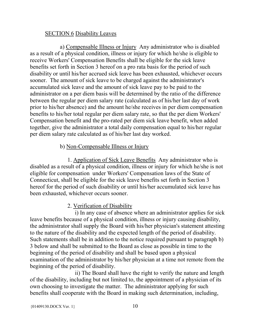#### SECTION 6 Disability Leaves

<span id="page-13-0"></span>a) Compensable Illness or Injury Any administrator who is disabled as a result of a physical condition, illness or injury for which he/she is eligible to receive Workers' Compensation Benefits shall be eligible for the sick leave benefits set forth in Section 3 hereof on a pro rata basis for the period of such disability or until his/her accrued sick leave has been exhausted, whichever occurs sooner. The amount of sick leave to be charged against the administrator's accumulated sick leave and the amount of sick leave pay to be paid to the administrator on a per diem basis will be determined by the ratio of the difference between the regular per diem salary rate (calculated as of his/her last day of work prior to his/her absence) and the amount he/she receives in per diem compensation benefits to his/her total regular per diem salary rate, so that the per diem Workers' Compensation benefit and the pro-rated per diem sick leave benefit, when added together, give the administrator a total daily compensation equal to his/her regular per diem salary rate calculated as of his/her last day worked.

#### b) Non-Compensable Illness or Injury

1. Application of Sick Leave Benefits Any administrator who is disabled as a result of a physical condition, illness or injury for which he/she is not eligible for compensation under Workers' Compensation laws of the State of Connecticut, shall be eligible for the sick leave benefits set forth in Section 3 hereof for the period of such disability or until his/her accumulated sick leave has been exhausted, whichever occurs sooner.

#### 2. Verification of Disability

i) In any case of absence where an administrator applies for sick leave benefits because of a physical condition, illness or injury causing disability, the administrator shall supply the Board with his/her physician's statement attesting to the nature of the disability and the expected length of the period of disability. Such statements shall be in addition to the notice required pursuant to paragraph b) 3 below and shall be submitted to the Board as close as possible in time to the beginning of the period of disability and shall be based upon a physical examination of the administrator by his/her physician at a time not remote from the beginning of the period of disability.

ii) The Board shall have the right to verify the nature and length of the disability, including but not limited to, the appointment of a physician of its own choosing to investigate the matter. The administrator applying for such benefits shall cooperate with the Board in making such determination, including,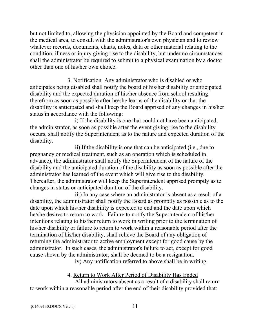but not limited to, allowing the physician appointed by the Board and competent in the medical area, to consult with the administrator's own physician and to review whatever records, documents, charts, notes, data or other material relating to the condition, illness or injury giving rise to the disability, but under no circumstances shall the administrator be required to submit to a physical examination by a doctor other than one of his/her own choice.

3. Notification Any administrator who is disabled or who anticipates being disabled shall notify the board of his/her disability or anticipated disability and the expected duration of his/her absence from school resulting therefrom as soon as possible after he/she learns of the disability or that the disability is anticipated and shall keep the Board apprised of any changes in his/her status in accordance with the following:

i) If the disability is one that could not have been anticipated, the administrator, as soon as possible after the event giving rise to the disability occurs, shall notify the Superintendent as to the nature and expected duration of the disability.

ii) If the disability is one that can be anticipated (i.e., due to pregnancy or medical treatment, such as an operation which is scheduled in advance), the administrator shall notify the Superintendent of the nature of the disability and the anticipated duration of the disability as soon as possible after the administrator has learned of the event which will give rise to the disability. Thereafter, the administrator will keep the Superintendent apprised promptly as to changes in status or anticipated duration of the disability.

iii) In any case where an administrator is absent as a result of a disability, the administrator shall notify the Board as promptly as possible as to the date upon which his/her disability is expected to end and the date upon which he/she desires to return to work. Failure to notify the Superintendent of his/her intentions relating to his/her return to work in writing prior to the termination of his/her disability or failure to return to work within a reasonable period after the termination of his/her disability, shall relieve the Board of any obligation of returning the administrator to active employment except for good cause by the administrator. In such cases, the administrator's failure to act, except for good cause shown by the administrator, shall be deemed to be a resignation.

iv) Any notification referred to above shall be in writing.

4. Return to Work After Period of Disability Has Ended

All administrators absent as a result of a disability shall return to work within a reasonable period after the end of their disability provided that: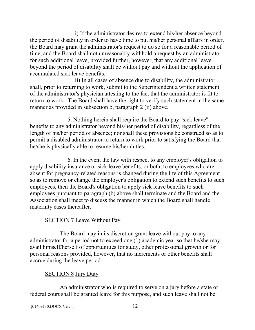i) If the administrator desires to extend his/her absence beyond the period of disability in order to have time to put his/her personal affairs in order, the Board may grant the administrator's request to do so for a reasonable period of time, and the Board shall not unreasonably withhold a request by an administrator for such additional leave, provided further, however, that any additional leave beyond the period of disability shall be without pay and without the application of accumulated sick leave benefits.

ii) In all cases of absence due to disability, the administrator shall, prior to returning to work, submit to the Superintendent a written statement of the administrator's physician attesting to the fact that the administrator is fit to return to work. The Board shall have the right to verify such statement in the same manner as provided in subsection b, paragraph 2 (ii) above.

5. Nothing herein shall require the Board to pay "sick leave" benefits to any administrator beyond his/her period of disability, regardless of the length of his/her period of absence; nor shall these provisions be construed so as to permit a disabled administrator to return to work prior to satisfying the Board that he/she is physically able to resume his/her duties.

6. In the event the law with respect to any employer's obligation to apply disability insurance or sick leave benefits, or both, to employees who are absent for pregnancy-related reasons is changed during the life of this Agreement so as to remove or change the employer's obligation to extend such benefits to such employees, then the Board's obligation to apply sick leave benefits to such employees pursuant to paragraph (b) above shall terminate and the Board and the Association shall meet to discuss the manner in which the Board shall handle maternity cases thereafter.

#### SECTION 7 Leave Without Pay

<span id="page-15-0"></span>The Board may in its discretion grant leave without pay to any administrator for a period not to exceed one (1) academic year so that he/she may avail himself/herself of opportunities for study, other professional growth or for personal reasons provided, however, that no increments or other benefits shall accrue during the leave period.

#### SECTION 8 Jury Duty

<span id="page-15-1"></span>An administrator who is required to serve on a jury before a state or federal court shall be granted leave for this purpose, and such leave shall not be

```
{01409130.DOCX Ver. 1} 12
```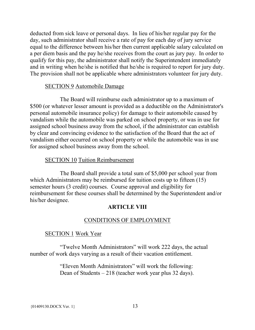deducted from sick leave or personal days. In lieu of his/her regular pay for the day, such administrator shall receive a rate of pay for each day of jury service equal to the difference between his/her then current applicable salary calculated on a per diem basis and the pay he/she receives from the court as jury pay. In order to qualify for this pay, the administrator shall notify the Superintendent immediately and in writing when he/she is notified that he/she is required to report for jury duty. The provision shall not be applicable where administrators volunteer for jury duty.

#### SECTION 9 Automobile Damage

<span id="page-16-0"></span>The Board will reimburse each administrator up to a maximum of \$500 (or whatever lesser amount is provided as a deductible on the Administrator's personal automobile insurance policy) for damage to their automobile caused by vandalism while the automobile was parked on school property, or was in use for assigned school business away from the school, if the administrator can establish by clear and convincing evidence to the satisfaction of the Board that the act of vandalism either occurred on school property or while the automobile was in use for assigned school business away from the school.

#### SECTION 10 Tuition Reimbursement

<span id="page-16-1"></span>The Board shall provide a total sum of \$5,000 per school year from which Administrators may be reimbursed for tuition costs up to fifteen (15) semester hours (3 credit) courses. Course approval and eligibility for reimbursement for these courses shall be determined by the Superintendent and/or his/her designee.

#### **ARTICLE VIII**

#### CONDITIONS OF EMPLOYMENT

#### <span id="page-16-3"></span><span id="page-16-2"></span>SECTION 1 Work Year

<span id="page-16-4"></span>"Twelve Month Administrators" will work 222 days, the actual number of work days varying as a result of their vacation entitlement.

> "Eleven Month Administrators" will work the following: Dean of Students – 218 (teacher work year plus 32 days).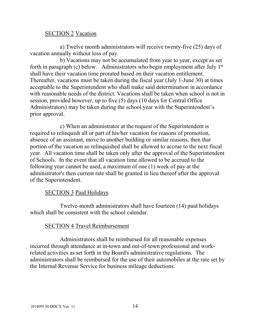#### <span id="page-17-0"></span>SECTION 2 Vacation

a) Twelve month administrators will receive twenty-five (25) days of vacation annually without loss of pay.

b) Vacations may not be accumulated from year to year, except as set forth in paragraph (c) below. Administrators who begin employment after July 1<sup>st</sup> shall have their vacation time prorated based on their vacation entitlement. Thereafter, vacations must be taken during the fiscal year (July 1-June 30) at times acceptable to the Superintendent who shall make said determination in accordance with reasonable needs of the district. Vacations shall be taken when school is not in session, provided however, up to five (5) days (10 days for Central Office Administrators) may be taken during the school year with the Superintendent's prior approval.

c) When an administrator at the request of the Superintendent is required to relinquish all or part of his/her vacation for reasons of promotion, absence of an assistant, move to another building or similar reasons, then that portion of the vacation so relinquished shall be allowed to accrue to the next fiscal year. All vacation time shall be taken only after the approval of the Superintendent of Schools. In the event that all vacation time allowed to be accrued to the following year cannot be used, a maximum of one (1) week of pay at the administrator's then current rate shall be granted in lieu thereof after the approval of the Superintendent.

#### SECTION 3 Paid Holidays

<span id="page-17-1"></span>Twelve-month administrators shall have fourteen (14) paid holidays which shall be consistent with the school calendar.

#### SECTION 4 Travel Reimbursement

<span id="page-17-2"></span>Administrators shall be reimbursed for all reasonable expenses incurred through attendance at in-town and out-of-town professional and workrelated activities as set forth in the Board's administrative regulations. The administrators shall be reimbursed for the use of their automobiles at the rate set by the Internal Revenue Service for business mileage deductions.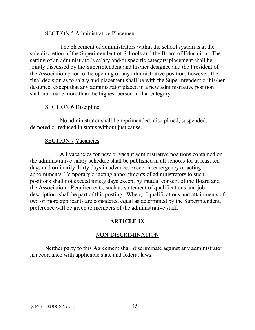#### SECTION 5 Administrative Placement

<span id="page-18-0"></span>The placement of administrators within the school system is at the sole discretion of the Superintendent of Schools and the Board of Education. The setting of an administrator's salary and/or specific category placement shall be jointly discussed by the Superintendent and his/her designee and the President of the Association prior to the opening of any administrative position; however, the final decision as to salary and placement shall be with the Superintendent or his/her designee, except that any administrator placed in a new administrative position shall not make more than the highest person in that category.

#### SECTION 6 Discipline

<span id="page-18-1"></span>No administrator shall be reprimanded, disciplined, suspended, demoted or reduced in status without just cause.

#### SECTION 7 Vacancies

<span id="page-18-2"></span>All vacancies for new or vacant administrative positions contained on the administrative salary schedule shall be published in all schools for at least ten days and ordinarily thirty days in advance, except in emergency or acting appointments. Temporary or acting appointments of administrators to such positions shall not exceed ninety days except by mutual consent of the Board and the Association. Requirements, such as statement of qualifications and job description, shall be part of this posting. When, if qualifications and attainments of two or more applicants are considered equal as determined by the Superintendent, preference will be given to members of the administrative staff.

#### **ARTICLE IX**

#### NON-DISCRIMINATION

<span id="page-18-4"></span><span id="page-18-3"></span>Neither party to this Agreement shall discriminate against any administrator in accordance with applicable state and federal laws.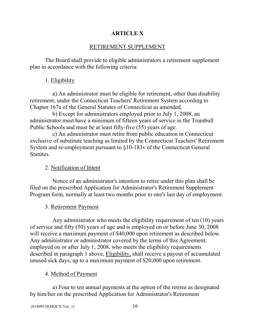#### **ARTICLE X**

#### RETIREMENT SUPPLEMENT

<span id="page-19-1"></span><span id="page-19-0"></span>The Board shall provide to eligible administrators a retirement supplement plan in accordance with the following criteria:

### 1. Eligibility

a) An administrator must be eligible for retirement, other than disability retirement, under the Connecticut Teachers' Retirement System according to Chapter 167a of the General Statutes of Connecticut as amended.

b) Except for administrators employed prior to July 1, 2008, an administrator must have a minimum of fifteen years of service in the Trumbull Public Schools and must be at least fifty-five (55) years of age.

c) An administrator must retire from public education in Connecticut exclusive of substitute teaching as limited by the Connecticut Teachers' Retirement System and re-employment pursuant to §10-183v of the Connecticut General Statutes.

#### 2. Notification of Intent

Notice of an administrator's intention to retire under this plan shall be filed on the prescribed Application for Administrator's Retirement Supplement Program form, normally at least two months prior to one's last day of employment.

#### 3. Retirement Payment

Any administrator who meets the eligibility requirement of ten (10) years of service and fifty (50) years of age and is employed on or before June 30, 2008 will receive a maximum payment of \$40,000 upon retirement as described below. Any administrator or administrator covered by the terms of this Agreement, employed on or after July 1, 2008, who meets the eligibility requirements described in paragraph 1 above, Eligibility, shall receive a payout of accumulated unused sick days, up to a maximum payment of \$20,000 upon retirement.

#### 4. Method of Payment

a) Four to ten annual payments at the option of the retiree as designated by him/her on the prescribed Application for Administrator's Retirement

```
{01409130.DOCX Ver. 1} 16
```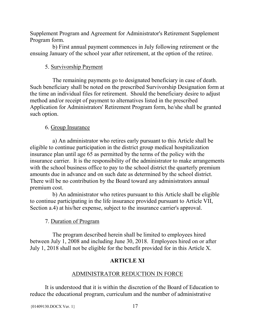Supplement Program and Agreement for Administrator's Retirement Supplement Program form.

b) First annual payment commences in July following retirement or the ensuing January of the school year after retirement, at the option of the retiree.

### 5. Survivorship Payment

The remaining payments go to designated beneficiary in case of death. Such beneficiary shall be noted on the prescribed Survivorship Designation form at the time an individual files for retirement. Should the beneficiary desire to adjust method and/or receipt of payment to alternatives listed in the prescribed Application for Administrators' Retirement Program form, he/she shall be granted such option.

### 6. Group Insurance

a) An administrator who retires early pursuant to this Article shall be eligible to continue participation in the district group medical hospitalization insurance plan until age 65 as permitted by the terms of the policy with the insurance carrier. It is the responsibility of the administrator to make arrangements with the school business office to pay to the school district the quarterly premium amounts due in advance and on such date as determined by the school district. There will be no contribution by the Board toward any administrators annual premium cost.

b) An administrator who retires pursuant to this Article shall be eligible to continue participating in the life insurance provided pursuant to Article VII, Section a.4) at his/her expense, subject to the insurance carrier's approval.

### 7. Duration of Program

<span id="page-20-0"></span>The program described herein shall be limited to employees hired between July 1, 2008 and including June 30, 2018. Employees hired on or after July 1, 2018 shall not be eligible for the benefit provided for in this Article X.

### **ARTICLE XI**

### ADMINISTRATOR REDUCTION IN FORCE

<span id="page-20-1"></span>It is understood that it is within the discretion of the Board of Education to reduce the educational program, curriculum and the number of administrative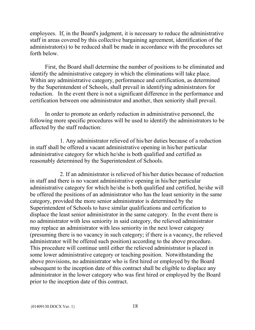employees. If, in the Board's judgment, it is necessary to reduce the administrative staff in areas covered by this collective bargaining agreement, identification of the administrator(s) to be reduced shall be made in accordance with the procedures set forth below.

First, the Board shall determine the number of positions to be eliminated and identify the administrative category in which the eliminations will take place. Within any administrative category, performance and certification, as determined by the Superintendent of Schools, shall prevail in identifying administrators for reduction. In the event there is not a significant difference in the performance and certification between one administrator and another, then seniority shall prevail.

In order to promote an orderly reduction in administrative personnel, the following more specific procedures will be used to identify the administrators to be affected by the staff reduction:

1. Any administrator relieved of his/her duties because of a reduction in staff shall be offered a vacant administrative opening in his/her particular administrative category for which he/she is both qualified and certified as reasonably determined by the Superintendent of Schools.

2. If an administrator is relieved of his/her duties because of reduction in staff and there is no vacant administrative opening in his/her particular administrative category for which he/she is both qualified and certified, he/she will be offered the positions of an administrator who has the least seniority in the same category, provided the more senior administrator is determined by the Superintendent of Schools to have similar qualifications and certification to displace the least senior administrator in the same category. In the event there is no administrator with less seniority in said category, the relieved administrator may replace an administrator with less seniority in the next lower category (presuming there is no vacancy in such category; if there is a vacancy, the relieved administrator will be offered such position) according to the above procedure. This procedure will continue until either the relieved administrator is placed in some lower administrative category or teaching position. Notwithstanding the above provisions, no administrator who is first hired or employed by the Board subsequent to the inception date of this contract shall be eligible to displace any administrator in the lower category who was first hired or employed by the Board prior to the inception date of this contract.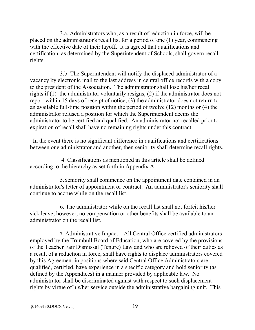3.a. Administrators who, as a result of reduction in force, will be placed on the administrator's recall list for a period of one (1) year, commencing with the effective date of their layoff. It is agreed that qualifications and certification, as determined by the Superintendent of Schools, shall govern recall rights.

3.b. The Superintendent will notify the displaced administrator of a vacancy by electronic mail to the last address in central office records with a copy to the president of the Association. The administrator shall lose his/her recall rights if (1) the administrator voluntarily resigns, (2) if the administrator does not report within 15 days of receipt of notice, (3) the administrator does not return to an available full-time position within the period of twelve (12) months or (4) the administrator refused a position for which the Superintendent deems the administrator to be certified and qualified. An administrator not recalled prior to expiration of recall shall have no remaining rights under this contract.

 In the event there is no significant difference in qualifications and certifications between one administrator and another, then seniority shall determine recall rights.

4. Classifications as mentioned in this article shall be defined according to the hierarchy as set forth in Appendix A.

5.Seniority shall commence on the appointment date contained in an administrator's letter of appointment or contract. An administrator's seniority shall continue to accrue while on the recall list.

6. The administrator while on the recall list shall not forfeit his/her sick leave; however, no compensation or other benefits shall be available to an administrator on the recall list.

 7. Administrative Impact – All Central Office certified administrators employed by the Trumbull Board of Education, who are covered by the provisions of the Teacher Fair Dismissal (Tenure) Law and who are relieved of their duties as a result of a reduction in force, shall have rights to displace administrators covered by this Agreement in positions where said Central Office Administrators are qualified, certified, have experience in a specific category and hold seniority (as defined by the Appendices) in a manner provided by applicable law. No administrator shall be discriminated against with respect to such displacement rights by virtue of his/her service outside the administrative bargaining unit. This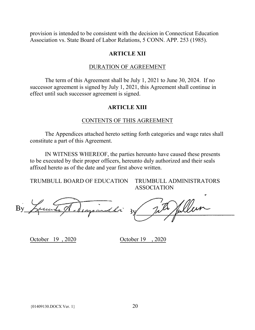<span id="page-23-0"></span>provision is intended to be consistent with the decision in Connecticut Education Association vs. State Board of Labor Relations, 5 CONN. APP. 253 (1985).

#### **ARTICLE XII**

#### DURATION OF AGREEMENT

<span id="page-23-2"></span><span id="page-23-1"></span>The term of this Agreement shall be July 1, 2021 to June 30, 2024. If no successor agreement is signed by July 1, 2021, this Agreement shall continue in effect until such successor agreement is signed.

#### **ARTICLE XIII**

#### CONTENTS OF THIS AGREEMENT

<span id="page-23-3"></span>The Appendices attached hereto setting forth categories and wage rates shall constitute a part of this Agreement.

IN WITNESS WHEREOF, the parties hereunto have caused these presents to be executed by their proper officers, hereunto duly authorized and their seals affixed hereto as of the date and year first above written.

TRUMBULL BOARD OF EDUCATION TRUMBULL ADMINISTRATORS

ASSOCIATION

 $\nonumber \begin{array}{ccccc} \textrm{By} & \textrm{Equation:} & \textrm{Equation:} & \textrm{Equation:} & \textrm{By} & \textrm{Equation:} & \textrm{Equation:} & \textrm{Equation:} & \textrm{Equation:} & \textrm{Equation:} & \textrm{Equation:} & \textrm{Equation:} & \textrm{Equation:} & \textrm{Equation:} & \textrm{Equation:} & \textrm{Equation:} & \textrm{Equation:} & \textrm{Equation:} & \textrm{Equation:} & \textrm{Equation:} & \textrm{Equation:} & \textr$ 

October 19 , 2020 October 19 , 2020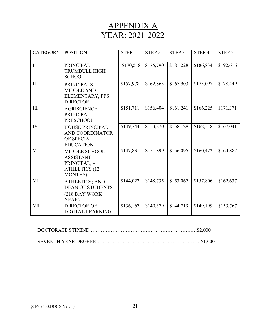## APPENDIX A YEAR: 2021-2022

<span id="page-24-0"></span>

| <b>CATEGORY</b> | <b>POSITION</b>                                                                                     | STEP <sub>1</sub> | STEP <sub>2</sub> | STEP <sub>3</sub> | STEP <sub>4</sub> | STEP <sub>5</sub> |
|-----------------|-----------------------------------------------------------------------------------------------------|-------------------|-------------------|-------------------|-------------------|-------------------|
| I               | PRINCIPAL-<br><b>TRUMBULL HIGH</b><br><b>SCHOOL</b>                                                 | \$170,518         | \$175,790         | \$181,228         | \$186,834         | \$192,616         |
| $\mathbf{I}$    | PRINCIPALS-<br><b>MIDDLE AND</b><br>ELEMENTARY, PPS<br><b>DIRECTOR</b>                              | \$157,978         | \$162,865         | \$167,903         | \$173,097         | \$178,449         |
| III             | <b>AGRISCIENCE</b><br><b>PRINCIPAL</b><br><b>PRESCHOOL</b>                                          | \$151,711         | \$156,404         | \$161,241         | \$166,225         | \$171,371         |
| IV              | HOUSE PRINCIPAL<br><b>AND COORDINATOR</b><br>OF SPECIAL<br><b>EDUCATION</b>                         | \$149,744         | \$153,870         | \$158,128         | \$162,518         | \$167,041         |
| $\mathbf{V}$    | <b>MIDDLE SCHOOL</b><br><b>ASSISTANT</b><br>PRINCIPAL; -<br><b>ATHLETICS (12</b><br><b>MONTHS</b> ) | \$147,831         | \$151,899         | \$156,095         | \$160,422         | \$164,882         |
| VI              | <b>ATHLETICS; AND</b><br><b>DEAN OF STUDENTS</b><br>(218 DAY WORK<br>YEAR)                          | \$144,022         | \$148,735         | \$153,067         | \$157,806         | \$162,637         |
| <b>VII</b>      | <b>DIRECTOR OF</b><br><b>DIGITAL LEARNING</b>                                                       | \$136,167         | \$140,379         | \$144,719         | \$149,199         | \$153,767         |

DOCTORATE STIPEND …………………………………………………….…\$2,000

SEVENTH YEAR DEGREE………………………………………………………\$1,000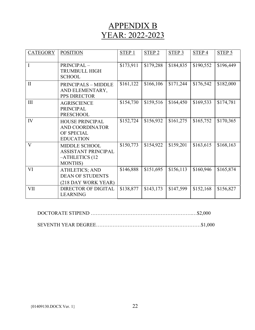## APPENDIX B YEAR: 2022-2023

<span id="page-25-0"></span>

| <b>CATEGORY</b> | <b>POSITION</b>                                                                         | STEP 1    | STEP <sub>2</sub> | STEP <sub>3</sub> | STEP <sub>4</sub> | STEP 5    |
|-----------------|-----------------------------------------------------------------------------------------|-----------|-------------------|-------------------|-------------------|-----------|
| I               | PRINCIPAL-<br><b>TRUMBULL HIGH</b><br><b>SCHOOL</b>                                     | \$173,911 | \$179,288         | \$184,835         | \$190,552         | \$196,449 |
| $\mathbf{I}$    | <b>PRINCIPALS - MIDDLE</b><br>AND ELEMENTARY,<br>PPS DIRECTOR                           | \$161,122 | \$166,106         | \$171,244         | \$176,542         | \$182,000 |
| III             | <b>AGRISCIENCE</b><br><b>PRINCIPAL</b><br><b>PRESCHOOL</b>                              | \$154,730 | \$159,516         | \$164,450         | \$169,533         | \$174,781 |
| IV              | <b>HOUSE PRINCIPAL</b><br>AND COORDINATOR<br>OF SPECIAL<br><b>EDUCATION</b>             | \$152,724 | \$156,932         | \$161,275         | \$165,752         | \$170,365 |
| $\mathbf{V}$    | <b>MIDDLE SCHOOL</b><br><b>ASSISTANT PRINCIPAL</b><br>-ATHLETICS (12<br><b>MONTHS</b> ) | \$150,773 | \$154,922         | \$159,201         | \$163,615         | \$168,163 |
| VI              | <b>ATHLETICS; AND</b><br><b>DEAN OF STUDENTS</b><br>(218 DAY WORK YEAR)                 | \$146,888 | \$151,695         | \$156,113         | \$160,946         | \$165,874 |
| <b>VII</b>      | <b>DIRECTOR OF DIGITAL</b><br><b>LEARNING</b>                                           | \$138,877 | \$143,173         | \$147,599         | \$152,168         | \$156,827 |

DOCTORATE STIPEND …………………………………………………….…\$2,000

SEVENTH YEAR DEGREE………………………………………………………\$1,000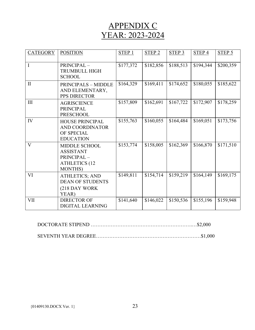## APPENDIX C YEAR: 2023-2024

<span id="page-26-0"></span>

| <b>CATEGORY</b> | <b>POSITION</b>                                                                                   | STEP <sub>1</sub> | STEP <sub>2</sub> | STEP <sub>3</sub> | STEP <sub>4</sub> | $STEP$ 5  |
|-----------------|---------------------------------------------------------------------------------------------------|-------------------|-------------------|-------------------|-------------------|-----------|
| $\mathbf I$     | PRINCIPAL-<br><b>TRUMBULL HIGH</b><br><b>SCHOOL</b>                                               | \$177,372         | \$182,856         | \$188,513         | \$194,344         | \$200,359 |
| $\mathbf{I}$    | <b>PRINCIPALS - MIDDLE</b><br>AND ELEMENTARY,<br>PPS DIRECTOR                                     | \$164,329         | \$169,411         | \$174,652         | \$180,055         | \$185,622 |
| III             | <b>AGRISCIENCE</b><br><b>PRINCIPAL</b><br><b>PRESCHOOL</b>                                        | \$157,809         | \$162,691         | \$167,722         | \$172,907         | \$178,259 |
| IV              | <b>HOUSE PRINCIPAL</b><br><b>AND COORDINATOR</b><br>OF SPECIAL<br><b>EDUCATION</b>                | \$155,763         | \$160,055         | \$164,484         | \$169,051         | \$173,756 |
| $\mathbf{V}$    | <b>MIDDLE SCHOOL</b><br><b>ASSISTANT</b><br>PRINCIPAL-<br><b>ATHLETICS (12</b><br><b>MONTHS</b> ) | \$153,774         | \$158,005         | \$162,369         | \$166,870         | \$171,510 |
| VI              | <b>ATHLETICS; AND</b><br><b>DEAN OF STUDENTS</b><br>(218 DAY WORK<br>YEAR)                        | \$149,811         | \$154,714         | \$159,219         | \$164,149         | \$169,175 |
| <b>VII</b>      | <b>DIRECTOR OF</b><br><b>DIGITAL LEARNING</b>                                                     | \$141,640         | \$146,022         | \$150,536         | \$155,196         | \$159,948 |

SEVENTH YEAR DEGREE………………………………………………………\$1,000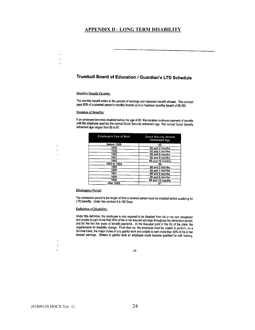#### **APPENDIX D - LONG TERM DISABILITY**

#### Trumbull Board of Education / Guardian's LTD Schedule

#### Monthly Benefit Payable:

<span id="page-27-0"></span>÷, l.

 $\ddot{z}$ 

The monthly benefit refers to the percent of earnings and maximum benefit allowed. This contract pays 60% of a covered person's monthly income up to a maximum monthly benefit of \$8,500.

#### **Duration of Benefits:**

If an employee becomes disabled before the age of 60, this duration continues payment of benefits until the employee reaches the normal Social Security retirement age. The normal Social Security retirement age ranges from 65 to 67.

| <b>Employee's Year of Birth</b> | <b>Social Security Normal</b><br><b>Retirement Age</b> |
|---------------------------------|--------------------------------------------------------|
| Before 1938                     | 65                                                     |
| 1938                            | 65 and 2 months                                        |
| 1939                            | 65 and 4 months                                        |
| 1940                            | 65 and 6 months                                        |
| 1941                            | 65 and 8 months                                        |
| 1942                            | 65 and 10 months                                       |
| 1943 to 1954                    | 66                                                     |
| 1955                            | 66 and 2 months                                        |
| 1956                            | 66 and 4 months                                        |
| 1957                            | 66 and 6 months                                        |
| 1958                            | 66 and 8 months                                        |
| 1959                            | 66 and 10 months                                       |
| Afler 1959                      | 67                                                     |

#### **Elimination Period:**

The elimination period is the length of time a covered person must be disabled before qualifying for LTD benefits. Under this contract it is 180 Days.

#### Definition of Disability:

Under this definition, the employee is only required to be disabled from his or her own occupation and unable to earn more than 80% of his or her insured earnings throughout the elimination period, and for the first five years of benefit payments. At the five-year point in the life of the claim, the requirements for disability change. From then on, the employee must be unable to perform, on a full-time basis, the major duties of any gainful work and unable to earn more than 80% of his or her insured earnings. (Refers to gainful work an employee could become qualified for with training,

34

J.  $\mathcal{L}$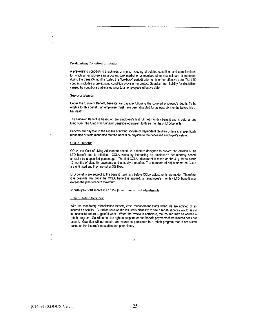#### Pre-Existing Condition Limitation:

A pre-existing condition is a sickness or injury, including all related conditions and complications, for which an employee saw a doctor, took medicine, or received other medical care or treatment during the three (3) months (called the "lookback" period) prior to his or her effective date. The LTD contract includes a pre-existing condition provision to protect Guardian from liability for disabilities caused by conditions that existed prior to an employee's effective date.

#### Survivor Benefit:

 $\ddot{\cdot}$ 

ć

Under the Survivor Benefit, benefits are payable following the covered employee's death. To be eligible for this benefit, an employee must have been disabled for at least six months before his or her death.

The Survivor Benefit is based on the employee's last full net monthly benefit and is paid as one lump sum. The lump sum Survivor Benefit is equivalent to three months of LTD benefits.

Benefits are payable to the eligible surviving spouse or dependent children unless it is specifically requested or state mandated that the benefit be payable to the deceased employee's estate.

#### COLA Benefit:

COLA, the Cost of Living Adjustment benefit, is a feature designed to prevent the erosion of the LTD benefit due to inflation. COLA works by increasing an employee's net monthly benefit annually by a specified percentage. The first COLA adjustment is made on the July 1st following 12 months of disability payments and annually thereafter. The numbers of adjustments on COLA are unlimited and they are set at 3% fixed.

LTD benefits are subject to the benefit maximum before COLA adjustments are made. Therefore, it is possible that once the COLA benefit is applied, an employee's monthly LTD benefit may exceed the plan's benefit maximum.

Monthly benefit increases of 3% (fixed), unlimited adjustments

#### **Rehabilitation Services:**

With the mandatory rehabilitation benefit, case management starts when we are notified of an insured's disability. Guardian reviews the insured's disability to see if rehab services would assist in successful return to gainful work. When the review is complete, the insured may be offered a rehab program. Guardian has the right to suspend or end benefit payments if the insured does not accept. Guardian will not require an insured to participate in a rehab program that is not suited based on the insured's education and prior history.

 $\ddot{\cdot}$